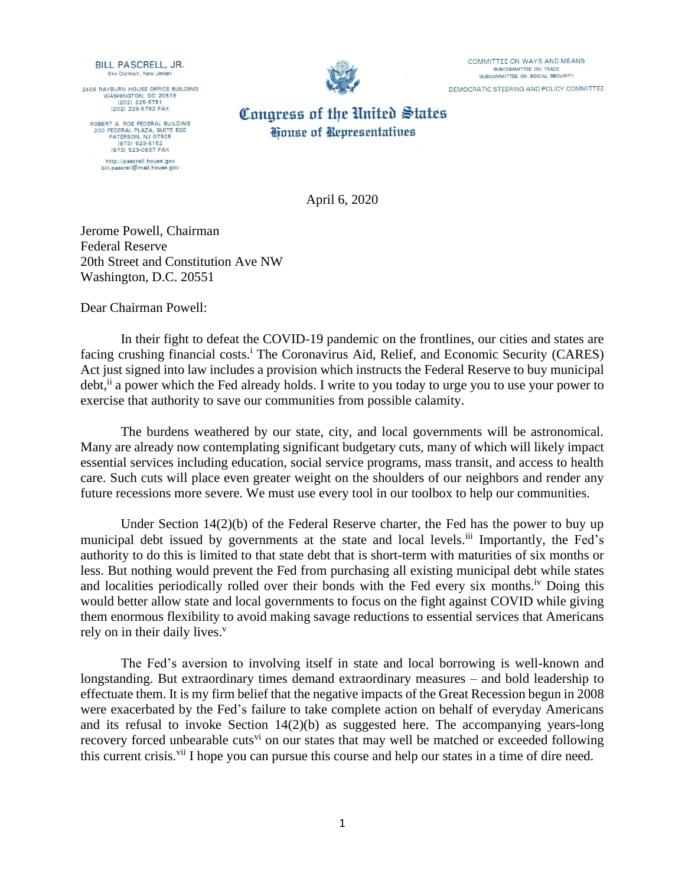**BILL PASCRELL, JR. 9TH DISTRICT, NEW JERSE** 

2409 RAYBURN HOUSE OFFICE BUILDING WASHINGTON, DC 20515  $(202)$  225-5751 (202) 225-5782 FAX

ROBERT A. ROE FEDERAL BUILDING 200 FEDERAL PLAZA, SUITE<br>PATERSON, NJ 07505 (973) 523-5152 (973) 523-0637 FAX http://pascrell.house.gov bill.pascrell@mail.house.gov



COMMITTEE ON WAYS AND MEANS SUBCOMMITTEE ON TRADE SUBCOMMITTEE ON SOCIAL SECURITY DEMOCRATIC STEERING AND POLICY COMMITTEE

Conaress of the United States **Gouse of Representatives** 

April 6, 2020

Jerome Powell, Chairman Federal Reserve 20th Street and Constitution Ave NW Washington, D.C. 20551

Dear Chairman Powell:

In their fight to defeat the COVID-19 pandemic on the frontlines, our cities and states are facing crushing financial costs.<sup>i</sup> The Coronavirus Aid, Relief, and Economic Security (CARES) Act just signed into law includes a provision which instructs the Federal Reserve to buy municipal debt,<sup>ii</sup> a power which the Fed already holds. I write to you today to urge you to use your power to exercise that authority to save our communities from possible calamity.

The burdens weathered by our state, city, and local governments will be astronomical. Many are already now contemplating significant budgetary cuts, many of which will likely impact essential services including education, social service programs, mass transit, and access to health care. Such cuts will place even greater weight on the shoulders of our neighbors and render any future recessions more severe. We must use every tool in our toolbox to help our communities.

Under Section 14(2)(b) of the Federal Reserve charter, the Fed has the power to buy up municipal debt issued by governments at the state and local levels.<sup>iii</sup> Importantly, the Fed's authority to do this is limited to that state debt that is short-term with maturities of six months or less. But nothing would prevent the Fed from purchasing all existing municipal debt while states and localities periodically rolled over their bonds with the Fed every six months.<sup>iv</sup> Doing this would better allow state and local governments to focus on the fight against COVID while giving them enormous flexibility to avoid making savage reductions to essential services that Americans rely on in their daily lives.<sup>v</sup>

The Fed's aversion to involving itself in state and local borrowing is well-known and longstanding. But extraordinary times demand extraordinary measures – and bold leadership to effectuate them. It is my firm belief that the negative impacts of the Great Recession begun in 2008 were exacerbated by the Fed's failure to take complete action on behalf of everyday Americans and its refusal to invoke Section 14(2)(b) as suggested here. The accompanying years-long recovery forced unbearable cuts<sup>vi</sup> on our states that may well be matched or exceeded following this current crisis.<sup>vii</sup> I hope you can pursue this course and help our states in a time of dire need.